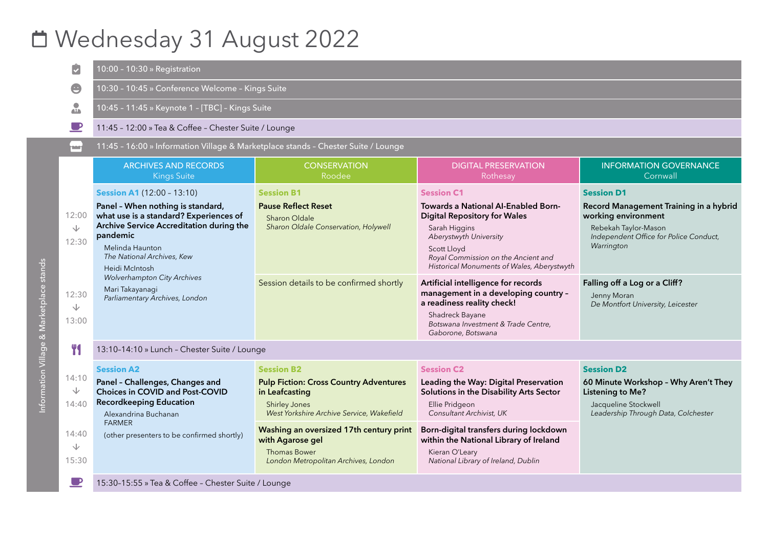# Wednesday 31 August 2022

|                                                             | 10:00 - 10:30 » Registration                                                                                                                                                                                                                                                                                                           |                                                                                                                                                                                                                                                                                         |                                                                                                                                                                                                                                                                                                                                                                                                                                             |                                                                                                                                                                                                                                                         |
|-------------------------------------------------------------|----------------------------------------------------------------------------------------------------------------------------------------------------------------------------------------------------------------------------------------------------------------------------------------------------------------------------------------|-----------------------------------------------------------------------------------------------------------------------------------------------------------------------------------------------------------------------------------------------------------------------------------------|---------------------------------------------------------------------------------------------------------------------------------------------------------------------------------------------------------------------------------------------------------------------------------------------------------------------------------------------------------------------------------------------------------------------------------------------|---------------------------------------------------------------------------------------------------------------------------------------------------------------------------------------------------------------------------------------------------------|
|                                                             | 10:30 - 10:45 » Conference Welcome - Kings Suite                                                                                                                                                                                                                                                                                       |                                                                                                                                                                                                                                                                                         |                                                                                                                                                                                                                                                                                                                                                                                                                                             |                                                                                                                                                                                                                                                         |
| $\frac{1}{\sqrt{2}}$                                        | 10:45 - 11:45 » Keynote 1 - [TBC] - Kings Suite                                                                                                                                                                                                                                                                                        |                                                                                                                                                                                                                                                                                         |                                                                                                                                                                                                                                                                                                                                                                                                                                             |                                                                                                                                                                                                                                                         |
|                                                             | 11:45 - 12:00 » Tea & Coffee - Chester Suite / Lounge                                                                                                                                                                                                                                                                                  |                                                                                                                                                                                                                                                                                         |                                                                                                                                                                                                                                                                                                                                                                                                                                             |                                                                                                                                                                                                                                                         |
| النشار                                                      | 11:45 - 16:00 » Information Village & Marketplace stands - Chester Suite / Lounge                                                                                                                                                                                                                                                      |                                                                                                                                                                                                                                                                                         |                                                                                                                                                                                                                                                                                                                                                                                                                                             |                                                                                                                                                                                                                                                         |
|                                                             | <b>ARCHIVES AND RECORDS</b><br><b>Kings Suite</b>                                                                                                                                                                                                                                                                                      | <b>CONSERVATION</b><br>Roodee                                                                                                                                                                                                                                                           | <b>DIGITAL PRESERVATION</b><br>Rothesay                                                                                                                                                                                                                                                                                                                                                                                                     | <b>INFORMATION GOVERNANCE</b><br>Cornwall                                                                                                                                                                                                               |
| 12:00<br>$\sqrt{2}$<br>12:30<br>12:30<br>$\sqrt{}$<br>13:00 | <b>Session A1 (12:00 - 13:10)</b><br>Panel - When nothing is standard,<br>what use is a standard? Experiences of<br>Archive Service Accreditation during the<br>pandemic<br>Melinda Haunton<br>The National Archives, Kew<br>Heidi McIntosh<br><b>Wolverhampton City Archives</b><br>Mari Takayanagi<br>Parliamentary Archives, London | <b>Session B1</b><br><b>Pause Reflect Reset</b><br>Sharon Oldale<br>Sharon Oldale Conservation, Holywell<br>Session details to be confirmed shortly                                                                                                                                     | <b>Session C1</b><br>Towards a National AI-Enabled Born-<br><b>Digital Repository for Wales</b><br>Sarah Higgins<br>Aberystwyth University<br>Scott Lloyd<br>Royal Commission on the Ancient and<br>Historical Monuments of Wales, Aberystwyth<br>Artificial intelligence for records<br>management in a developing country -<br>a readiness reality check!<br>Shadreck Bayane<br>Botswana Investment & Trade Centre,<br>Gaborone, Botswana | <b>Session D1</b><br>Record Management Training in a hybrid<br>working environment<br>Rebekah Taylor-Mason<br>Independent Office for Police Conduct,<br>Warrington<br>Falling off a Log or a Cliff?<br>Jenny Moran<br>De Montfort University, Leicester |
| <b>TY</b>                                                   | 13:10-14:10 » Lunch - Chester Suite / Lounge                                                                                                                                                                                                                                                                                           |                                                                                                                                                                                                                                                                                         |                                                                                                                                                                                                                                                                                                                                                                                                                                             |                                                                                                                                                                                                                                                         |
| 14:10<br>↓<br>14:40<br>14:40<br>$\sqrt{}$<br>15:30          | <b>Session A2</b><br>Panel - Challenges, Changes and<br>Choices in COVID and Post-COVID<br><b>Recordkeeping Education</b><br>Alexandrina Buchanan<br><b>FARMER</b><br>(other presenters to be confirmed shortly)                                                                                                                       | <b>Session B2</b><br><b>Pulp Fiction: Cross Country Adventures</b><br>in Leafcasting<br><b>Shirley Jones</b><br>West Yorkshire Archive Service, Wakefield<br>Washing an oversized 17th century print<br>with Agarose gel<br><b>Thomas Bower</b><br>London Metropolitan Archives, London | <b>Session C2</b><br>Leading the Way: Digital Preservation<br>Solutions in the Disability Arts Sector<br>Ellie Pridgeon<br>Consultant Archivist, UK<br>Born-digital transfers during lockdown<br>within the National Library of Ireland<br>Kieran O'Leary<br>National Library of Ireland, Dublin                                                                                                                                            | <b>Session D2</b><br>60 Minute Workshop - Why Aren't They<br><b>Listening to Me?</b><br>Jacqueline Stockwell<br>Leadership Through Data, Colchester                                                                                                     |
| $\blacksquare$                                              | 15:30-15:55 » Tea & Coffee - Chester Suite / Lounge                                                                                                                                                                                                                                                                                    |                                                                                                                                                                                                                                                                                         |                                                                                                                                                                                                                                                                                                                                                                                                                                             |                                                                                                                                                                                                                                                         |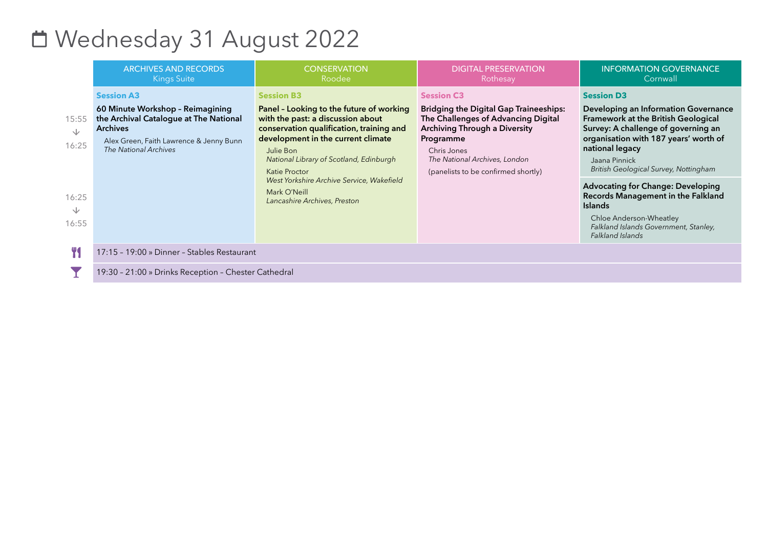### Wednesday 31 August 2022

|                                                     | <b>ARCHIVES AND RECORDS</b><br><b>Kings Suite</b>                                                                                                                                      | <b>CONSERVATION</b><br>Roodee                                                                                                                                                                                                                                                                                                                              | <b>DIGITAL PRESERVATION</b><br><b>Rothesay</b>                                                                                                                                                                                                        | <b>INFORMATION GOVERNANCE</b><br>Cornwall                                                                                                                                                                                                                                                                                                                                                                                                                 |
|-----------------------------------------------------|----------------------------------------------------------------------------------------------------------------------------------------------------------------------------------------|------------------------------------------------------------------------------------------------------------------------------------------------------------------------------------------------------------------------------------------------------------------------------------------------------------------------------------------------------------|-------------------------------------------------------------------------------------------------------------------------------------------------------------------------------------------------------------------------------------------------------|-----------------------------------------------------------------------------------------------------------------------------------------------------------------------------------------------------------------------------------------------------------------------------------------------------------------------------------------------------------------------------------------------------------------------------------------------------------|
| 15:55<br>$\sqrt{ }$<br>16:25<br>16:25<br>V<br>16:55 | <b>Session A3</b><br>60 Minute Workshop - Reimagining<br>the Archival Catalogue at The National<br><b>Archives</b><br>Alex Green, Faith Lawrence & Jenny Bunn<br>The National Archives | <b>Session B3</b><br>Panel - Looking to the future of working<br>with the past: a discussion about<br>conservation qualification, training and<br>development in the current climate<br>Julie Bon<br>National Library of Scotland, Edinburgh<br>Katie Proctor<br>West Yorkshire Archive Service, Wakefield<br>Mark O'Neill<br>Lancashire Archives, Preston | <b>Session C3</b><br><b>Bridging the Digital Gap Traineeships:</b><br>The Challenges of Advancing Digital<br><b>Archiving Through a Diversity</b><br>Programme<br>Chris Jones<br>The National Archives, London<br>(panelists to be confirmed shortly) | <b>Session D3</b><br>Developing an Information Governance<br>Framework at the British Geological<br>Survey: A challenge of governing an<br>organisation with 187 years' worth of<br>national legacy<br>Jaana Pinnick<br>British Geological Survey, Nottingham<br><b>Advocating for Change: Developing</b><br>Records Management in the Falkland<br><b>Islands</b><br>Chloe Anderson-Wheatley<br>Falkland Islands Government, Stanley,<br>Falkland Islands |
| Y                                                   | 17:15 - 19:00 » Dinner - Stables Restaurant                                                                                                                                            |                                                                                                                                                                                                                                                                                                                                                            |                                                                                                                                                                                                                                                       |                                                                                                                                                                                                                                                                                                                                                                                                                                                           |
|                                                     | 19:30 - 21:00 » Drinks Reception - Chester Cathedral                                                                                                                                   |                                                                                                                                                                                                                                                                                                                                                            |                                                                                                                                                                                                                                                       |                                                                                                                                                                                                                                                                                                                                                                                                                                                           |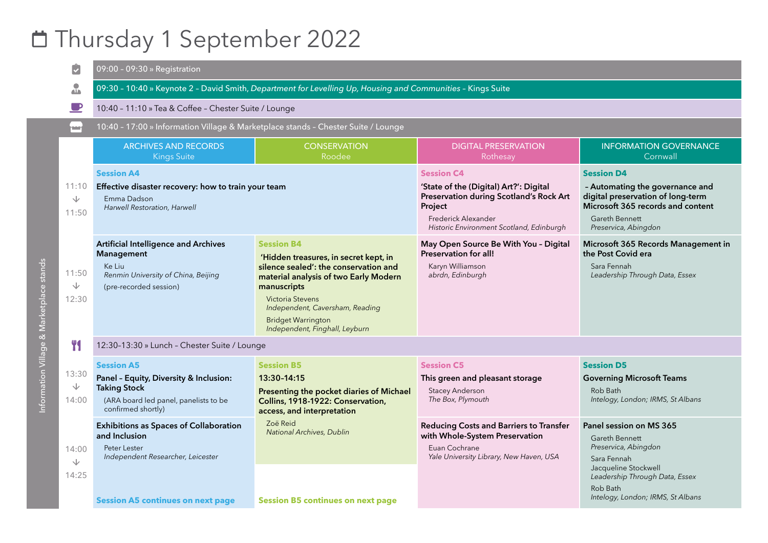#### Thursday 1 September 2022

|                                          | $\overline{\checkmark}$             | 09:00 - 09:30 » Registration                                                                                                                      |                                                                                                                                                                                                                                                                                   |                                                                                                                                                                                      |                                                                                                                                                                                             |  |
|------------------------------------------|-------------------------------------|---------------------------------------------------------------------------------------------------------------------------------------------------|-----------------------------------------------------------------------------------------------------------------------------------------------------------------------------------------------------------------------------------------------------------------------------------|--------------------------------------------------------------------------------------------------------------------------------------------------------------------------------------|---------------------------------------------------------------------------------------------------------------------------------------------------------------------------------------------|--|
|                                          | $\frac{1}{\sqrt{2}}$                | 09:30 - 10:40 » Keynote 2 - David Smith, Department for Levelling Up, Housing and Communities - Kings Suite                                       |                                                                                                                                                                                                                                                                                   |                                                                                                                                                                                      |                                                                                                                                                                                             |  |
|                                          |                                     | 10:40 - 11:10 » Tea & Coffee - Chester Suite / Lounge                                                                                             |                                                                                                                                                                                                                                                                                   |                                                                                                                                                                                      |                                                                                                                                                                                             |  |
|                                          | mar i                               | 10:40 - 17:00 » Information Village & Marketplace stands - Chester Suite / Lounge                                                                 |                                                                                                                                                                                                                                                                                   |                                                                                                                                                                                      |                                                                                                                                                                                             |  |
|                                          |                                     | <b>ARCHIVES AND RECORDS</b><br>Kings Suite                                                                                                        | <b>CONSERVATION</b><br>Roodee                                                                                                                                                                                                                                                     | <b>DIGITAL PRESERVATION</b><br>Rothesay                                                                                                                                              | <b>INFORMATION GOVERNANCE</b><br>Cornwall                                                                                                                                                   |  |
|                                          | 11:10<br>∿<br>11:50                 | <b>Session A4</b><br>Effective disaster recovery: how to train your team<br>Emma Dadson<br>Harwell Restoration, Harwell                           |                                                                                                                                                                                                                                                                                   | <b>Session C4</b><br>'State of the (Digital) Art?': Digital<br>Preservation during Scotland's Rock Art<br>Project<br>Frederick Alexander<br>Historic Environment Scotland, Edinburgh | <b>Session D4</b><br>- Automating the governance and<br>digital preservation of long-term<br>Microsoft 365 records and content<br>Gareth Bennett<br>Preservica, Abingdon                    |  |
| Information Village & Marketplace stands | 11:50<br>$\sqrt{}$<br>12:30         | <b>Artificial Intelligence and Archives</b><br>Management<br>Ke Liu<br>Renmin University of China, Beijing<br>(pre-recorded session)              | <b>Session B4</b><br>'Hidden treasures, in secret kept, in<br>silence sealed': the conservation and<br>material analysis of two Early Modern<br>manuscripts<br>Victoria Stevens<br>Independent, Caversham, Reading<br><b>Bridget Warrington</b><br>Independent, Finghall, Leyburn | May Open Source Be With You - Digital<br>Preservation for all!<br>Karyn Williamson<br>abrdn, Edinburgh                                                                               | Microsoft 365 Records Management in<br>the Post Covid era<br>Sara Fennah<br>Leadership Through Data, Essex                                                                                  |  |
|                                          | Y <sub>1</sub>                      | 12:30-13:30 » Lunch - Chester Suite / Lounge                                                                                                      |                                                                                                                                                                                                                                                                                   |                                                                                                                                                                                      |                                                                                                                                                                                             |  |
|                                          | 13:30<br>$\overline{\vee}$<br>14:00 | <b>Session A5</b><br>Panel - Equity, Diversity & Inclusion:<br><b>Taking Stock</b><br>(ARA board led panel, panelists to be<br>confirmed shortly) | <b>Session B5</b><br>13:30-14:15<br>Presenting the pocket diaries of Michael<br>Collins, 1918-1922: Conservation,<br>access, and interpretation                                                                                                                                   | <b>Session C5</b><br>This green and pleasant storage<br><b>Stacey Anderson</b><br>The Box, Plymouth                                                                                  | <b>Session D5</b><br><b>Governing Microsoft Teams</b><br>Rob Bath<br>Intelogy, London; IRMS, St Albans                                                                                      |  |
|                                          | 14:00<br>$\sqrt{2}$<br>14:25        | <b>Exhibitions as Spaces of Collaboration</b><br>and Inclusion<br>Peter Lester<br>Independent Researcher, Leicester                               | Zoë Reid<br>National Archives, Dublin                                                                                                                                                                                                                                             | Reducing Costs and Barriers to Transfer<br>with Whole-System Preservation<br>Euan Cochrane<br>Yale University Library, New Haven, USA                                                | Panel session on MS 365<br>Gareth Bennett<br>Preservica, Abingdon<br>Sara Fennah<br>Jacqueline Stockwell<br>Leadership Through Data, Essex<br>Rob Bath<br>Intelogy, London; IRMS, St Albans |  |
|                                          |                                     | <b>Session A5 continues on next page</b>                                                                                                          | <b>Session B5 continues on next page</b>                                                                                                                                                                                                                                          |                                                                                                                                                                                      |                                                                                                                                                                                             |  |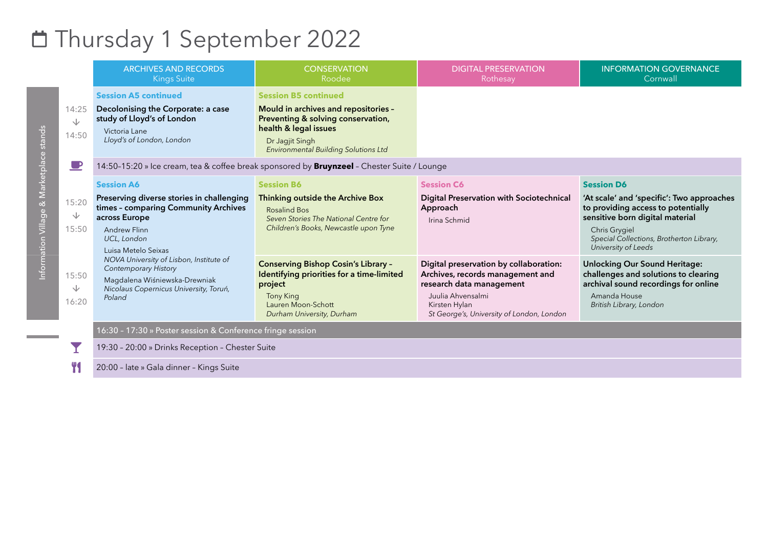## Thursday 1 September 2022

|                     | <b>ARCHIVES AND RECORDS</b><br><b>Kings Suite</b>                                                                                                                                    | <b>CONSERVATION</b><br>Roodee                                                                                                                                                                        | <b>DIGITAL PRESERVATION</b><br>Rothesay                                                                                                                                                   | <b>INFORMATION GOVERNANCE</b><br>Cornwall                                                                                                                                                                                   |  |
|---------------------|--------------------------------------------------------------------------------------------------------------------------------------------------------------------------------------|------------------------------------------------------------------------------------------------------------------------------------------------------------------------------------------------------|-------------------------------------------------------------------------------------------------------------------------------------------------------------------------------------------|-----------------------------------------------------------------------------------------------------------------------------------------------------------------------------------------------------------------------------|--|
| 14:25<br>↓<br>14:50 | <b>Session A5 continued</b><br>Decolonising the Corporate: a case<br>study of Lloyd's of London<br>Victoria Lane<br>Lloyd's of London, London                                        | <b>Session B5 continued</b><br>Mould in archives and repositories -<br>Preventing & solving conservation,<br>health & legal issues<br>Dr Jagjit Singh<br><b>Environmental Building Solutions Ltd</b> |                                                                                                                                                                                           |                                                                                                                                                                                                                             |  |
| $\blacksquare$      | 14:50-15:20 » Ice cream, tea & coffee break sponsored by <b>Bruynzeel</b> - Chester Suite / Lounge                                                                                   |                                                                                                                                                                                                      |                                                                                                                                                                                           |                                                                                                                                                                                                                             |  |
| 15:20<br>↓<br>15:50 | <b>Session A6</b><br>Preserving diverse stories in challenging<br>times - comparing Community Archives<br>across Europe<br><b>Andrew Flinn</b><br>UCL, London<br>Luisa Metelo Seixas | <b>Session B6</b><br>Thinking outside the Archive Box<br>Rosalind Bos<br>Seven Stories The National Centre for<br>Children's Books, Newcastle upon Tyne                                              | <b>Session C6</b><br>Digital Preservation with Sociotechnical<br>Approach<br>Irina Schmid                                                                                                 | <b>Session D6</b><br>'At scale' and 'specific': Two approaches<br>to providing access to potentially<br>sensitive born digital material<br>Chris Grygiel<br>Special Collections, Brotherton Library,<br>University of Leeds |  |
| 15:50<br>◡<br>16:20 | NOVA University of Lisbon, Institute of<br><b>Contemporary History</b><br>Magdalena Wiśniewska-Drewniak<br>Nicolaus Copernicus University, Toruń,<br>Poland                          | <b>Conserving Bishop Cosin's Library -</b><br>Identifying priorities for a time-limited<br>project<br><b>Tony King</b><br>Lauren Moon-Schott<br>Durham University, Durham                            | Digital preservation by collaboration:<br>Archives, records management and<br>research data management<br>Juulia Ahvensalmi<br>Kirsten Hylan<br>St George's, University of London, London | <b>Unlocking Our Sound Heritage:</b><br>challenges and solutions to clearing<br>archival sound recordings for online<br>Amanda House<br>British Library, London                                                             |  |
|                     | 16:30 - 17:30 » Poster session & Conference fringe session                                                                                                                           |                                                                                                                                                                                                      |                                                                                                                                                                                           |                                                                                                                                                                                                                             |  |
|                     | 19:30 - 20:00 » Drinks Reception - Chester Suite                                                                                                                                     |                                                                                                                                                                                                      |                                                                                                                                                                                           |                                                                                                                                                                                                                             |  |

Y<sub>1</sub> 20:00 – late » Gala dinner – Kings Suite

Information Village & Marketplace stands Information Village & Marketplace stands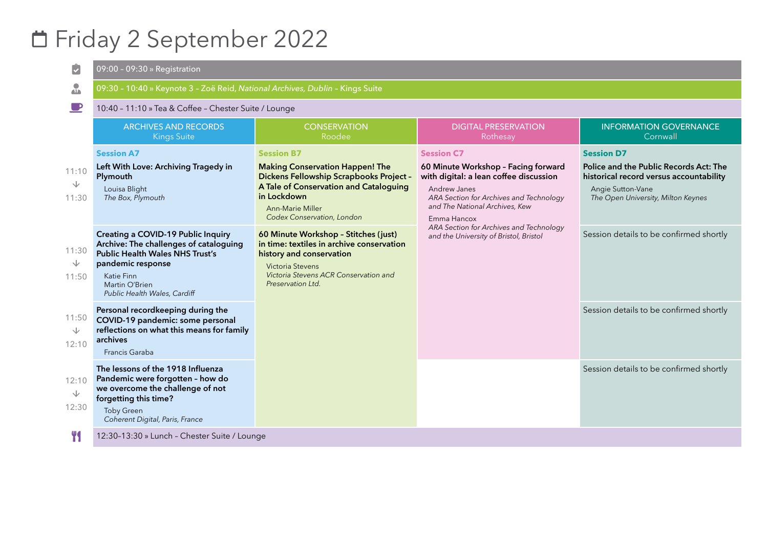## Friday 2 September 2022

| $\ddot{\bm{\cdot}}$          | 09:00 - 09:30 » Registration                                                                                                                                                                                       |                                                                                                                                                                                                                          |                                                                                                                                                                                                                                                                                                     |                                                                                                                                                                   |  |
|------------------------------|--------------------------------------------------------------------------------------------------------------------------------------------------------------------------------------------------------------------|--------------------------------------------------------------------------------------------------------------------------------------------------------------------------------------------------------------------------|-----------------------------------------------------------------------------------------------------------------------------------------------------------------------------------------------------------------------------------------------------------------------------------------------------|-------------------------------------------------------------------------------------------------------------------------------------------------------------------|--|
| $\frac{1}{2}$                | 09:30 - 10:40 » Keynote 3 - Zoë Reid, National Archives, Dublin - Kings Suite                                                                                                                                      |                                                                                                                                                                                                                          |                                                                                                                                                                                                                                                                                                     |                                                                                                                                                                   |  |
|                              | 10:40 - 11:10 » Tea & Coffee - Chester Suite / Lounge                                                                                                                                                              |                                                                                                                                                                                                                          |                                                                                                                                                                                                                                                                                                     |                                                                                                                                                                   |  |
|                              | <b>ARCHIVES AND RECORDS</b><br><b>Kings Suite</b>                                                                                                                                                                  | <b>CONSERVATION</b><br>Roodee                                                                                                                                                                                            | <b>DIGITAL PRESERVATION</b><br>Rothesay                                                                                                                                                                                                                                                             | <b>INFORMATION GOVERNANCE</b><br>Cornwall                                                                                                                         |  |
| 11:10<br>◡<br>11:30          | <b>Session A7</b><br>Left With Love: Archiving Tragedy in<br>Plymouth<br>Louisa Blight<br>The Box, Plymouth                                                                                                        | <b>Session B7</b><br><b>Making Conservation Happen! The</b><br>Dickens Fellowship Scrapbooks Project -<br>A Tale of Conservation and Cataloguing<br>in Lockdown<br><b>Ann-Marie Miller</b><br>Codex Conservation, London | <b>Session C7</b><br>60 Minute Workshop - Facing forward<br>with digital: a lean coffee discussion<br>Andrew Janes<br>ARA Section for Archives and Technology<br>and The National Archives, Kew<br>Emma Hancox<br>ARA Section for Archives and Technology<br>and the University of Bristol, Bristol | <b>Session D7</b><br>Police and the Public Records Act: The<br>historical record versus accountability<br>Angie Sutton-Vane<br>The Open University, Milton Keynes |  |
| 11:30<br>↓<br>11:50          | <b>Creating a COVID-19 Public Inquiry</b><br>Archive: The challenges of cataloguing<br><b>Public Health Wales NHS Trust's</b><br>pandemic response<br>Katie Finn<br>Martin O'Brien<br>Public Health Wales, Cardiff | 60 Minute Workshop - Stitches (just)<br>in time: textiles in archive conservation<br>history and conservation<br>Victoria Stevens<br>Victoria Stevens ACR Conservation and<br>Preservation Ltd.                          |                                                                                                                                                                                                                                                                                                     | Session details to be confirmed shortly                                                                                                                           |  |
| 11:50<br>↓<br>12:10          | Personal recordkeeping during the<br>COVID-19 pandemic: some personal<br>reflections on what this means for family<br>archives<br>Francis Garaba                                                                   |                                                                                                                                                                                                                          |                                                                                                                                                                                                                                                                                                     | Session details to be confirmed shortly                                                                                                                           |  |
| 12:10<br>$\sqrt{2}$<br>12:30 | The lessons of the 1918 Influenza<br>Pandemic were forgotten - how do<br>we overcome the challenge of not<br>forgetting this time?<br><b>Toby Green</b><br>Coherent Digital, Paris, France                         |                                                                                                                                                                                                                          |                                                                                                                                                                                                                                                                                                     | Session details to be confirmed shortly                                                                                                                           |  |
|                              | 12:30-13:30 » Lunch - Chester Suite / Lounge                                                                                                                                                                       |                                                                                                                                                                                                                          |                                                                                                                                                                                                                                                                                                     |                                                                                                                                                                   |  |